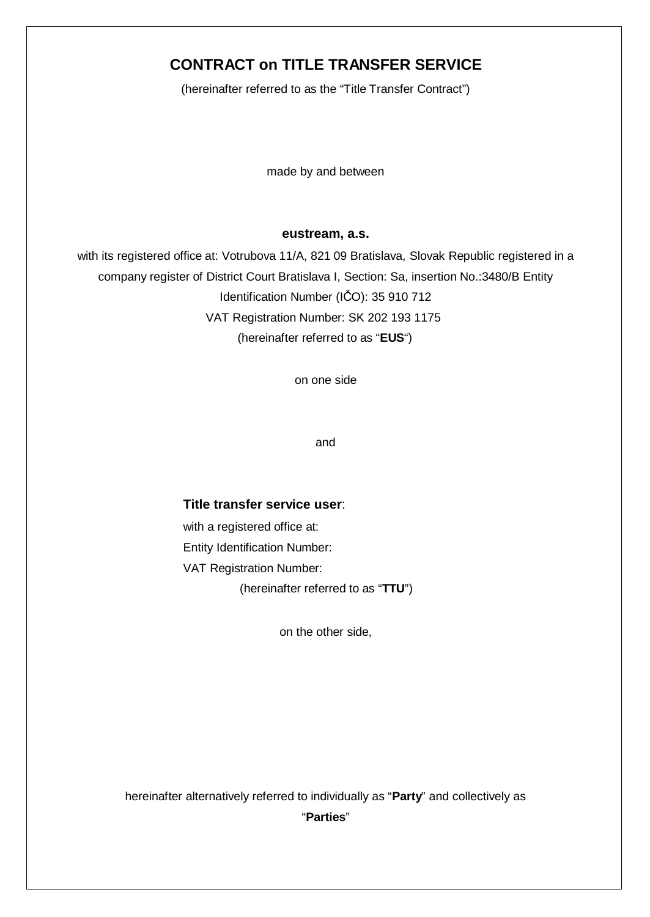# **CONTRACT on TITLE TRANSFER SERVICE**

(hereinafter referred to as the "Title Transfer Contract")

made by and between

#### **eustream, a.s.**

with its registered office at: Votrubova 11/A, 821 09 Bratislava, Slovak Republic registered in a company register of District Court Bratislava I, Section: Sa, insertion No.:3480/B Entity Identification Number (IČO): 35 910 712 VAT Registration Number: SK 202 193 1175 (hereinafter referred to as "**EUS**")

on one side

and

#### **Title transfer service user**:

with a registered office at: Entity Identification Number: VAT Registration Number: (hereinafter referred to as "**TTU**")

on the other side,

hereinafter alternatively referred to individually as "**Party**" and collectively as "**Parties**"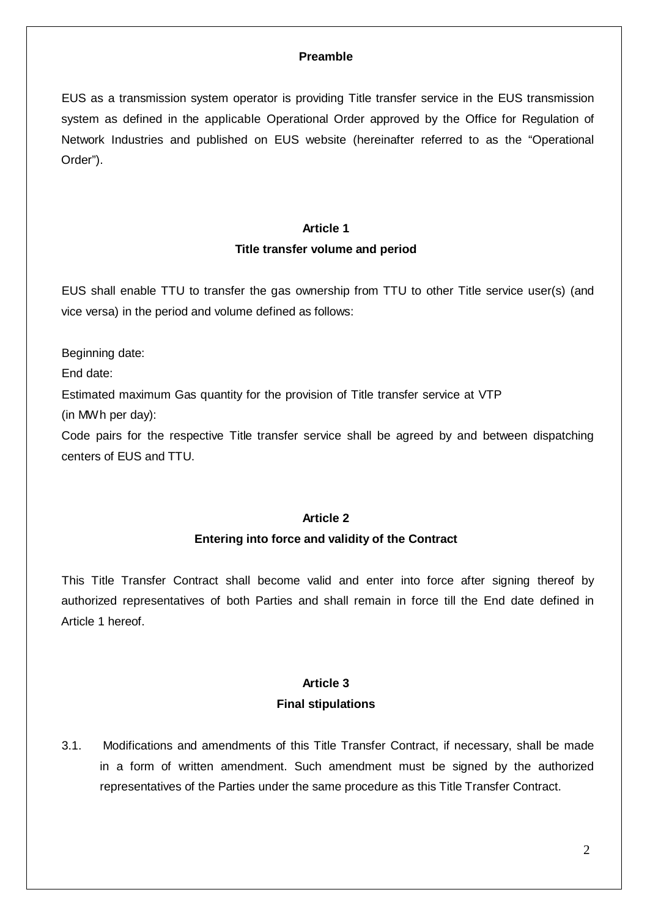# **Preamble**

EUS as a transmission system operator is providing Title transfer service in the EUS transmission system as defined in the applicable Operational Order approved by the Office for Regulation of Network Industries and published on EUS website (hereinafter referred to as the "Operational Order").

# **Article 1**

## **Title transfer volume and period**

EUS shall enable TTU to transfer the gas ownership from TTU to other Title service user(s) (and vice versa) in the period and volume defined as follows:

Beginning date:

End date:

Estimated maximum Gas quantity for the provision of Title transfer service at VTP

(in MWh per day):

Code pairs for the respective Title transfer service shall be agreed by and between dispatching centers of EUS and TTU.

# **Article 2**

#### **Entering into force and validity of the Contract**

This Title Transfer Contract shall become valid and enter into force after signing thereof by authorized representatives of both Parties and shall remain in force till the End date defined in Article 1 hereof.

# **Article 3**

#### **Final stipulations**

3.1. Modifications and amendments of this Title Transfer Contract, if necessary, shall be made in a form of written amendment. Such amendment must be signed by the authorized representatives of the Parties under the same procedure as this Title Transfer Contract.